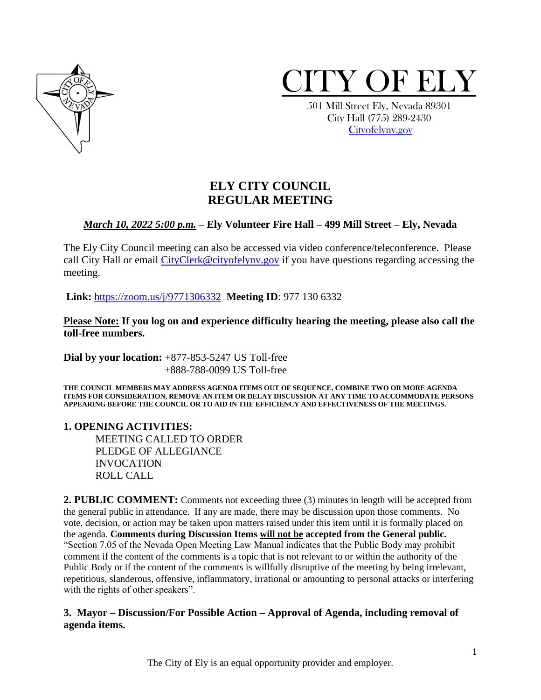



 501 Mill Street Ely, Nevada 89301 City Hall (775) 289-2430 [Cityofelynv.gov](mailto:Cityofelynv.gov)

# **ELY CITY COUNCIL REGULAR MEETING**

# *March 10, 2022 5:00 p.m.* **– Ely Volunteer Fire Hall – 499 Mill Street – Ely, Nevada**

The Ely City Council meeting can also be accessed via video conference/teleconference. Please call City Hall or email [CityClerk@cityofelynv.gov](mailto:CityClerk@cityofelynv.gov) if you have questions regarding accessing the meeting.

**Link:** [https://zoom.us/j/9771306332](https://zoom.us/j/9771306332?status=success) **Meeting ID**: 977 130 6332

**Please Note: If you log on and experience difficulty hearing the meeting, please also call the toll-free numbers.** 

**Dial by your location:** +877-853-5247 US Toll-free +888-788-0099 US Toll-free

**THE COUNCIL MEMBERS MAY ADDRESS AGENDA ITEMS OUT OF SEQUENCE, COMBINE TWO OR MORE AGENDA ITEMS FOR CONSIDERATION, REMOVE AN ITEM OR DELAY DISCUSSION AT ANY TIME TO ACCOMMODATE PERSONS APPEARING BEFORE THE COUNCIL OR TO AID IN THE EFFICIENCY AND EFFECTIVENESS OF THE MEETINGS.**

#### **1. OPENING ACTIVITIES:**

MEETING CALLED TO ORDER PLEDGE OF ALLEGIANCE INVOCATION ROLL CALL

**2. PUBLIC COMMENT:** Comments not exceeding three (3) minutes in length will be accepted from the general public in attendance. If any are made, there may be discussion upon those comments. No vote, decision, or action may be taken upon matters raised under this item until it is formally placed on the agenda. **Comments during Discussion Items will not be accepted from the General public.**  "Section 7.05 of the Nevada Open Meeting Law Manual indicates that the Public Body may prohibit comment if the content of the comments is a topic that is not relevant to or within the authority of the Public Body or if the content of the comments is willfully disruptive of the meeting by being irrelevant, repetitious, slanderous, offensive, inflammatory, irrational or amounting to personal attacks or interfering with the rights of other speakers".

# **3. Mayor – Discussion/For Possible Action – Approval of Agenda, including removal of agenda items.**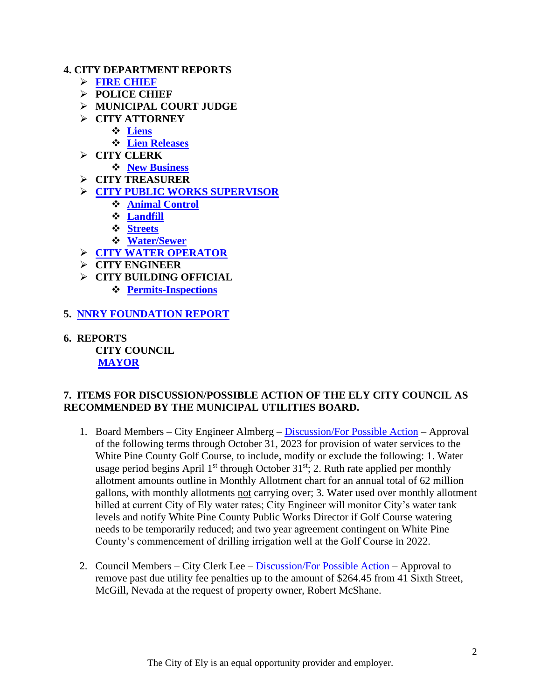#### **4. CITY DEPARTMENT REPORTS**

- ➢ **[FIRE CHIEF](https://www.cityofelynv.gov/pdf/CityCouncil2022/cc3-10-22/FirechiefreportFebruary2022.pdf)**
- ➢ **POLICE CHIEF**
- ➢ **MUNICIPAL COURT JUDGE**
- ➢ **CITY ATTORNEY**
	- ❖ **[Liens](https://www.cityofelynv.gov/pdf/CityCouncil2022/cc3-10-22/Liensfebruary22.pdf)**
	- ❖ **[Lien Releases](https://www.cityofelynv.gov/pdf/CityCouncil2022/cc3-10-22/Februarylienreleases.pdf)**
- ➢ **CITY CLERK**
	- ❖ **[New Business](https://www.cityofelynv.gov/pdf/CityCouncil2022/cc3-10-22/Februarynewbusiness.pdf)**
- ➢ **CITY TREASURER**
- ➢ **[CITY PUBLIC WORKS SUPERVISOR](https://www.cityofelynv.gov/pdf/CityCouncil2022/cc3-10-22/PublicworksReportFebruary2022.pdf)**
	- ❖ **[Animal Control](https://www.cityofelynv.gov/pdf/CityCouncil2022/cc3-10-22/animalcontrolfebreport.pdf)**
	- ❖ **[Landfill](https://www.cityofelynv.gov/pdf/CityCouncil2022/cc3-10-22/LandfillMonthlyreport3-1-22.pdf)**
	- ❖ **[Streets](https://www.cityofelynv.gov/pdf/CityCouncil2022/cc3-10-22/Streetsfebruary22monthlyreport.pdf)**
	- ❖ **[Water/Sewer](https://www.cityofelynv.gov/pdf/CityCouncil2022/cc3-10-22/water-sewerReportFebruary2022.pdf)**
- ➢ **[CITY WATER OPERATOR](https://www.cityofelynv.gov/pdf/CityCouncil2022/cc3-10-22/wateroperatorreportfeb22.pdf)**
- ➢ **CITY ENGINEER**
- ➢ **CITY BUILDING OFFICIAL**
	- ❖ **[Permits-Inspections](https://www.cityofelynv.gov/pdf/CityCouncil2022/cc3-10-22/BuildingdeptFeb22report.pdf)**
- **5. [NNRY FOUNDATION REPORT](https://www.cityofelynv.gov/pdf/CityCouncil2022/cc3-10-22/FebruaryNevadaNorthernRailwayReport.pdf)**
- **6. REPORTS CITY COUNCIL [MAYOR](https://www.cityofelynv.gov/pdf/CityCouncil2022/cc3-10-22/MayorsRpt03-10-2022.pdf)**

#### **7. ITEMS FOR DISCUSSION/POSSIBLE ACTION OF THE ELY CITY COUNCIL AS RECOMMENDED BY THE MUNICIPAL UTILITIES BOARD.**

- 1. Board Members City Engineer Almberg [Discussion/For Possible Action](https://www.cityofelynv.gov/pdf/CityCouncil2022/cc3-10-22/GolfCourseproposedwaterusagerates.pdf) Approval of the following terms through October 31, 2023 for provision of water services to the White Pine County Golf Course, to include, modify or exclude the following: 1. Water usage period begins April  $1<sup>st</sup>$  through October 31<sup>st</sup>; 2. Ruth rate applied per monthly allotment amounts outline in Monthly Allotment chart for an annual total of 62 million gallons, with monthly allotments not carrying over; 3. Water used over monthly allotment billed at current City of Ely water rates; City Engineer will monitor City's water tank levels and notify White Pine County Public Works Director if Golf Course watering needs to be temporarily reduced; and two year agreement contingent on White Pine County's commencement of drilling irrigation well at the Golf Course in 2022.
- 2. Council Members City Clerk Lee [Discussion/For Possible Action](https://www.cityofelynv.gov/pdf/CityCouncil2022/cc3-10-22/41sixthstpenaltywaiver.pdf) Approval to remove past due utility fee penalties up to the amount of \$264.45 from 41 Sixth Street, McGill, Nevada at the request of property owner, Robert McShane.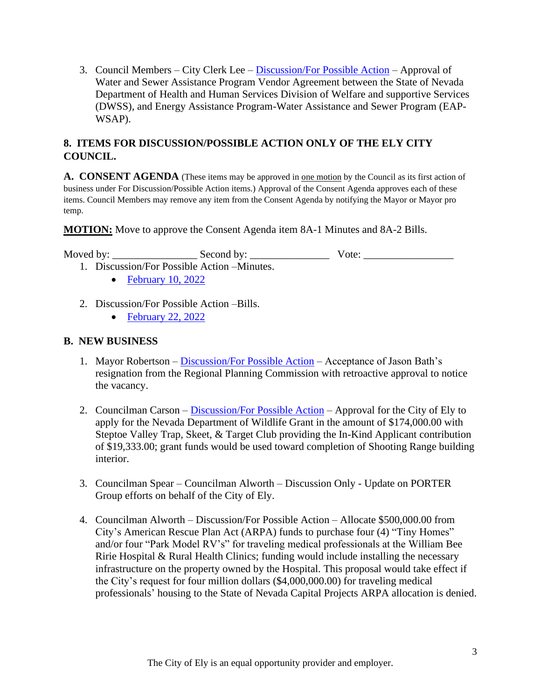3. Council Members – City Clerk Lee – [Discussion/For Possible Action](https://www.cityofelynv.gov/pdf/CityCouncil2022/cc3-10-22/WSAPVendorAgreementCityofElyModified.pdf) – Approval of Water and Sewer Assistance Program Vendor Agreement between the State of Nevada Department of Health and Human Services Division of Welfare and supportive Services (DWSS), and Energy Assistance Program-Water Assistance and Sewer Program (EAP-WSAP).

# **8. ITEMS FOR DISCUSSION/POSSIBLE ACTION ONLY OF THE ELY CITY COUNCIL.**

**A. CONSENT AGENDA** (These items may be approved in one motion by the Council as its first action of business under For Discussion/Possible Action items.) Approval of the Consent Agenda approves each of these items. Council Members may remove any item from the Consent Agenda by notifying the Mayor or Mayor pro temp.

**MOTION:** Move to approve the Consent Agenda item 8A-1 Minutes and 8A-2 Bills.

Moved by: \_\_\_\_\_\_\_\_\_\_\_\_\_\_\_\_ Second by: \_\_\_\_\_\_\_\_\_\_\_\_\_\_\_ Vote: \_\_\_\_\_\_\_\_\_\_\_\_\_\_\_\_\_

- 1. Discussion/For Possible Action –Minutes.
	- [February 10, 2022](https://www.cityofelynv.gov/pdf/CityCouncil2022/cc3-10-22/cc2-10-22meeting.pdf)
- 2. Discussion/For Possible Action –Bills.
	- [February 22, 2022](https://www.cityofelynv.gov/pdf/CityCouncil2022/cc3-10-22/cc2-22-22bills.pdf)

# **B. NEW BUSINESS**

- 1. Mayor Robertson [Discussion/For Possible Action](https://www.cityofelynv.gov/pdf/CityCouncil2022/cc3-10-22/JBathresignationrpc.pdf) Acceptance of Jason Bath's resignation from the Regional Planning Commission with retroactive approval to notice the vacancy.
- 2. Councilman Carson [Discussion/For Possible Action](https://www.cityofelynv.gov/pdf/CityCouncil2022/cc3-10-22/2022ShootingRangeGrantApplication.pdf) Approval for the City of Ely to apply for the Nevada Department of Wildlife Grant in the amount of \$174,000.00 with Steptoe Valley Trap, Skeet, & Target Club providing the In-Kind Applicant contribution of \$19,333.00; grant funds would be used toward completion of Shooting Range building interior.
- 3. Councilman Spear Councilman Alworth Discussion Only Update on PORTER Group efforts on behalf of the City of Ely.
- 4. Councilman Alworth Discussion/For Possible Action Allocate \$500,000.00 from City's American Rescue Plan Act (ARPA) funds to purchase four (4) "Tiny Homes" and/or four "Park Model RV's" for traveling medical professionals at the William Bee Ririe Hospital & Rural Health Clinics; funding would include installing the necessary infrastructure on the property owned by the Hospital. This proposal would take effect if the City's request for four million dollars (\$4,000,000.00) for traveling medical professionals' housing to the State of Nevada Capital Projects ARPA allocation is denied.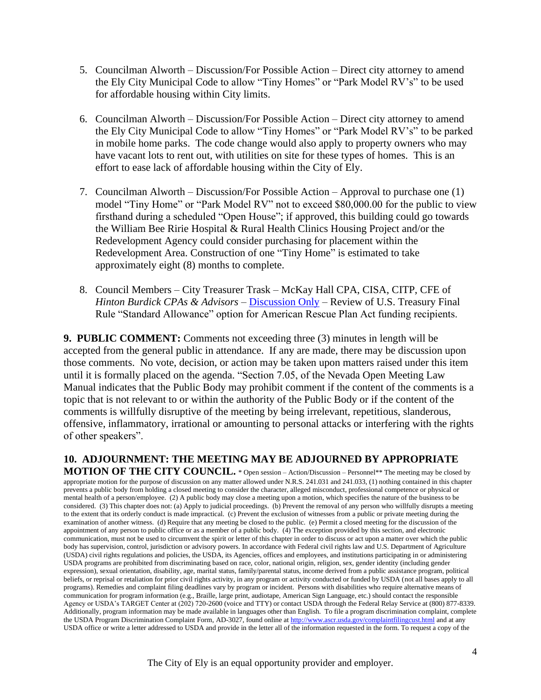- 5. Councilman Alworth Discussion/For Possible Action Direct city attorney to amend the Ely City Municipal Code to allow "Tiny Homes" or "Park Model RV's" to be used for affordable housing within City limits.
- 6. Councilman Alworth Discussion/For Possible Action Direct city attorney to amend the Ely City Municipal Code to allow "Tiny Homes" or "Park Model RV's" to be parked in mobile home parks. The code change would also apply to property owners who may have vacant lots to rent out, with utilities on site for these types of homes. This is an effort to ease lack of affordable housing within the City of Ely.
- 7. Councilman Alworth Discussion/For Possible Action Approval to purchase one (1) model "Tiny Home" or "Park Model RV" not to exceed \$80,000.00 for the public to view firsthand during a scheduled "Open House"; if approved, this building could go towards the William Bee Ririe Hospital & Rural Health Clinics Housing Project and/or the Redevelopment Agency could consider purchasing for placement within the Redevelopment Area. Construction of one "Tiny Home" is estimated to take approximately eight (8) months to complete.
- 8. Council Members City Treasurer Trask McKay Hall CPA, CISA, CITP, CFE of *Hinton Burdick CPAs & Advisors* – [Discussion Only](https://www.cityofelynv.gov/pdf/CityCouncil2022/cc3-10-22/standardallowanceARPAfunding.pdf) – Review of U.S. Treasury Final Rule "Standard Allowance" option for American Rescue Plan Act funding recipients.

**9. PUBLIC COMMENT:** Comments not exceeding three (3) minutes in length will be accepted from the general public in attendance. If any are made, there may be discussion upon those comments. No vote, decision, or action may be taken upon matters raised under this item until it is formally placed on the agenda. "Section 7.05, of the Nevada Open Meeting Law Manual indicates that the Public Body may prohibit comment if the content of the comments is a topic that is not relevant to or within the authority of the Public Body or if the content of the comments is willfully disruptive of the meeting by being irrelevant, repetitious, slanderous, offensive, inflammatory, irrational or amounting to personal attacks or interfering with the rights of other speakers".

**10. ADJOURNMENT: THE MEETING MAY BE ADJOURNED BY APPROPRIATE MOTION OF THE CITY COUNCIL.** \* Open session – Action/Discussion – Personnel\*\* The meeting may be closed by appropriate motion for the purpose of discussion on any matter allowed under N.R.S. 241.031 and 241.033, (1) nothing contained in this chapter prevents a public body from holding a closed meeting to consider the character, alleged misconduct, professional competence or physical or mental health of a person/employee. (2) A public body may close a meeting upon a motion, which specifies the nature of the business to be considered. (3) This chapter does not: (a) Apply to judicial proceedings. (b) Prevent the removal of any person who willfully disrupts a meeting to the extent that its orderly conduct is made impractical. (c) Prevent the exclusion of witnesses from a public or private meeting during the examination of another witness. (d) Require that any meeting be closed to the public. (e) Permit a closed meeting for the discussion of the appointment of any person to public office or as a member of a public body. (4) The exception provided by this section, and electronic communication, must not be used to circumvent the spirit or letter of this chapter in order to discuss or act upon a matter over which the public body has supervision, control, jurisdiction or advisory powers. In accordance with Federal civil rights law and U.S. Department of Agriculture (USDA) civil rights regulations and policies, the USDA, its Agencies, offices and employees, and institutions participating in or administering USDA programs are prohibited from discriminating based on race, color, national origin, religion, sex, gender identity (including gender expression), sexual orientation, disability, age, marital status, family/parental status, income derived from a public assistance program, political beliefs, or reprisal or retaliation for prior civil rights activity, in any program or activity conducted or funded by USDA (not all bases apply to all programs). Remedies and complaint filing deadlines vary by program or incident. Persons with disabilities who require alternative means of communication for program information (e.g., Braille, large print, audiotape, American Sign Language, etc.) should contact the responsible Agency or USDA's TARGET Center at (202) 720-2600 (voice and TTY) or contact USDA through the Federal Relay Service at (800) 877-8339. Additionally, program information may be made available in languages other than English. To file a program discrimination complaint, complete the USDA Program Discrimination Complaint Form, AD-3027, found online a[t http://www.ascr.usda.gov/complaintfilingcust.html](http://www.ascr.usda.gov/complaintfilingcust.html) and at any USDA office or write a letter addressed to USDA and provide in the letter all of the information requested in the form. To request a copy of the